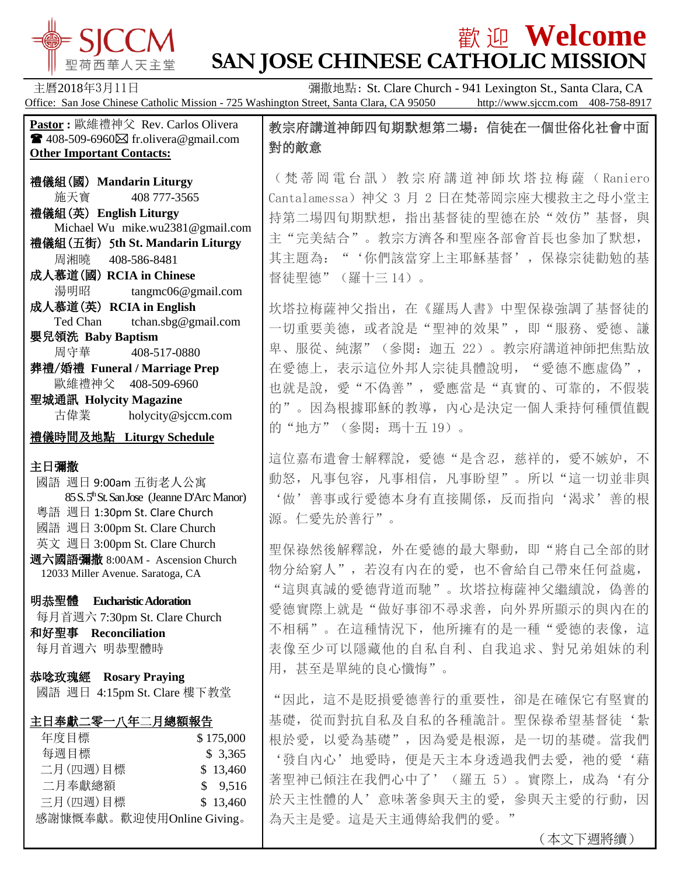

## **歡迎 Welcome SAN JOSE CHINESE CATHOLIC MISSION**

主曆2018年3月11日 **Example 2018年3月11日 The Communist St. Clare Church - 941 Lexington St., Santa Clara, CA** Office: San Jose Chinese Catholic Mission - 725 Washington Street, Santa Clara, CA 95050 http://www.sjccm.com 408-758-8917 **Pastor :** 歐維禮神父 Rev. Carlos Olivera  $\blacksquare$  408-509-6960 $\boxtimes$  fr.olivera@gmail.com **Other Important Contacts:** 禮儀組(國) **Mandarin Liturgy** 施天寶 408 777-3565 禮儀組(英) **English Liturgy** Michael Wu mike.wu2381@gmail.com 禮儀組(五街) 5**th St. Mandarin Liturgy** 周湘曉 408-586-8481 成人慕道(國) **RCIA in Chinese** 湯明昭 tangmc06@gmail.com 成人慕道(英) **RCIA in English** Ted Chan tchan.sbg@gmail.com 嬰兒領洗 **Baby Baptism** 周守華 408-517-0880 葬禮/婚禮 **Funeral / Marriage Prep** 歐維禮神父 408-509-6960 聖城通訊 **Holycity Magazine** 古偉業 [holycity@sjccm.com](mailto:holycity@sjccm.com) 禮儀時間及地點 **Liturgy Schedule** 主日彌撒 國語 週日 9:00am 五街老人公寓 85 S. 5thSt. San Jose (Jeanne D'Arc Manor) 粵語 週日 1:30pm St. Clare Church 國語 週日 3:00pm St. Clare Church 英文 週日 3:00pm St. Clare Church 週六國語彌撒 8:00AM - Ascension Church 12033 Miller Avenue. Saratoga, CA 明恭聖體 **Eucharistic Adoration** 每月首週六 7:30pm St. Clare Church 和好聖事 **Reconciliation** 每月首週六 明恭聖體時 恭唸玫瑰經 **Rosary Praying** 國語 週日 4:15pm St. Clare 樓下教堂 主日奉獻二零一八年二月總額報告 年度目標 \$ 175,000 每週目標 \$ 3,365 二月(四週)目標 \$13,460 二月奉獻總額 \$ 9,516 三月(四週)目標 \$13,460 感謝慷慨奉獻。歡迎使用Online Giving。 教宗府講道神師四旬期默想第二場:信徒在一個世俗化社會中面 對的敵意 (梵蒂岡電台訊)教宗府講道神師坎塔拉梅薩( Raniero Cantalamessa)神父 3 月 2 日在梵蒂岡宗座大樓救主之母小堂主 持第二場四旬期默想,指出基督徒的聖德在於"效仿"基督,與 主"完美結合"。教宗方濟各和聖座各部會首長也參加了默想, 其主題為:"'你們該當穿上主耶穌基督',保祿宗徒勸勉的基 督徒聖德"(羅十三 14)。 坎塔拉梅薩神父指出,在《羅馬人書》中聖保祿強調了基督徒的 一切重要美德,或者說是"聖神的效果",即"服務、愛德、謙 卑、服從、純潔"(參閱:迦五 22)。教宗府講道神師把焦點放 在愛德上,表示這位外邦人宗徒具體說明,"愛德不應虛偽", 也就是說,愛"不偽善",愛應當是"真實的、可靠的,不假裝 的"。因為根據耶穌的教導,內心是決定一個人秉持何種價值觀 的"地方"(參閱:瑪十五 19)。 這位嘉布遣會士解釋說, 愛德"是含忍, 慈祥的, 愛不嫉妒, 不 動怒,凡事包容,凡事相信,凡事盼望"。所以"這一切並非與 '做'善事或行愛德本身有直接關係,反而指向'渴求'善的根 源。仁愛先於善行"。 聖保祿然後解釋說,外在愛德的最大舉動,即"將自己全部的財 物分給窮人",若沒有內在的愛,也不會給自己帶來任何益處, "這與真誠的愛德背道而馳"。坎塔拉梅薩神父繼續說,偽善的 愛德實際上就是"做好事卻不尋求善,向外界所顯示的與內在的 不相稱"。在這種情況下,他所擁有的是一種"愛德的表像,這 表像至少可以隱藏他的自私自利、自我追求、對兄弟姐妹的利 用,甚至是單純的良心懺悔"。 "因此,這不是貶損愛德善行的重要性,卻是在確保它有堅實的 基礎, 從而對抗自私及自私的各種詭計。聖保祿希望基督徒'紮 根於愛,以愛為基礎",因為愛是根源,是一切的基礎。當我們 '發自內心'地愛時, 便是天主本身透過我們去愛, 祂的愛'藉 著聖神已傾注在我們心中了'(羅五 5)。實際上,成為'有分 於天主性體的人'意味著參與天主的愛,參與天主愛的行動,因 為天主是愛。這是天主通傳給我們的愛。"

(本文下週將續)